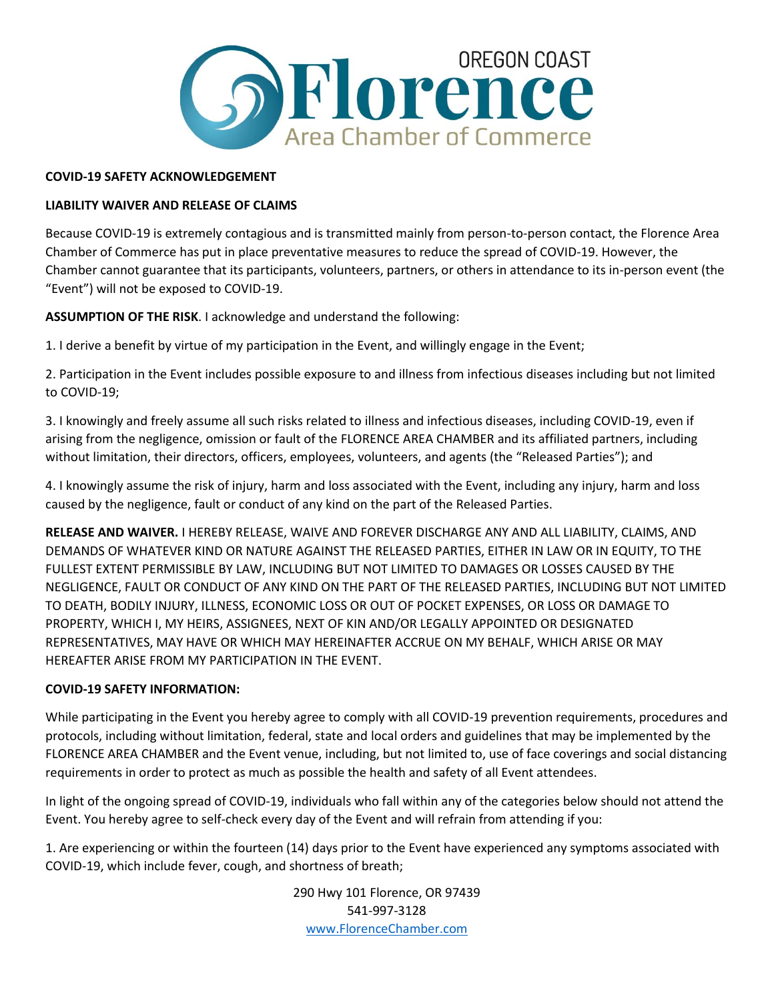

## **COVID-19 SAFETY ACKNOWLEDGEMENT**

# **LIABILITY WAIVER AND RELEASE OF CLAIMS**

Because COVID-19 is extremely contagious and is transmitted mainly from person-to-person contact, the Florence Area Chamber of Commerce has put in place preventative measures to reduce the spread of COVID-19. However, the Chamber cannot guarantee that its participants, volunteers, partners, or others in attendance to its in-person event (the "Event") will not be exposed to COVID-19.

**ASSUMPTION OF THE RISK**. I acknowledge and understand the following:

1. I derive a benefit by virtue of my participation in the Event, and willingly engage in the Event;

2. Participation in the Event includes possible exposure to and illness from infectious diseases including but not limited to COVID-19;

3. I knowingly and freely assume all such risks related to illness and infectious diseases, including COVID-19, even if arising from the negligence, omission or fault of the FLORENCE AREA CHAMBER and its affiliated partners, including without limitation, their directors, officers, employees, volunteers, and agents (the "Released Parties"); and

4. I knowingly assume the risk of injury, harm and loss associated with the Event, including any injury, harm and loss caused by the negligence, fault or conduct of any kind on the part of the Released Parties.

**RELEASE AND WAIVER.** I HEREBY RELEASE, WAIVE AND FOREVER DISCHARGE ANY AND ALL LIABILITY, CLAIMS, AND DEMANDS OF WHATEVER KIND OR NATURE AGAINST THE RELEASED PARTIES, EITHER IN LAW OR IN EQUITY, TO THE FULLEST EXTENT PERMISSIBLE BY LAW, INCLUDING BUT NOT LIMITED TO DAMAGES OR LOSSES CAUSED BY THE NEGLIGENCE, FAULT OR CONDUCT OF ANY KIND ON THE PART OF THE RELEASED PARTIES, INCLUDING BUT NOT LIMITED TO DEATH, BODILY INJURY, ILLNESS, ECONOMIC LOSS OR OUT OF POCKET EXPENSES, OR LOSS OR DAMAGE TO PROPERTY, WHICH I, MY HEIRS, ASSIGNEES, NEXT OF KIN AND/OR LEGALLY APPOINTED OR DESIGNATED REPRESENTATIVES, MAY HAVE OR WHICH MAY HEREINAFTER ACCRUE ON MY BEHALF, WHICH ARISE OR MAY HEREAFTER ARISE FROM MY PARTICIPATION IN THE EVENT.

### **COVID-19 SAFETY INFORMATION:**

While participating in the Event you hereby agree to comply with all COVID-19 prevention requirements, procedures and protocols, including without limitation, federal, state and local orders and guidelines that may be implemented by the FLORENCE AREA CHAMBER and the Event venue, including, but not limited to, use of face coverings and social distancing requirements in order to protect as much as possible the health and safety of all Event attendees.

In light of the ongoing spread of COVID-19, individuals who fall within any of the categories below should not attend the Event. You hereby agree to self-check every day of the Event and will refrain from attending if you:

1. Are experiencing or within the fourteen (14) days prior to the Event have experienced any symptoms associated with COVID-19, which include fever, cough, and shortness of breath;

> 290 Hwy 101 Florence, OR 97439 541-997-3128 [www.FlorenceChamber.com](http://www.florencechamber.com/)